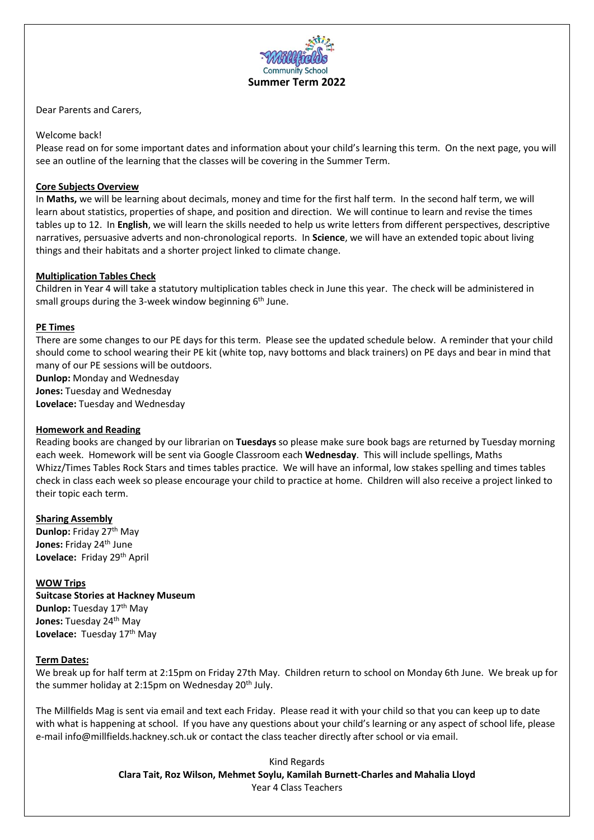

Dear Parents and Carers,

# Welcome back!

Please read on for some important dates and information about your child's learning this term. On the next page, you will see an outline of the learning that the classes will be covering in the Summer Term.

# **Core Subjects Overview**

In **Maths,** we will be learning about decimals, money and time for the first half term. In the second half term, we will learn about statistics, properties of shape, and position and direction. We will continue to learn and revise the times tables up to 12. In **English**, we will learn the skills needed to help us write letters from different perspectives, descriptive narratives, persuasive adverts and non-chronological reports. In **Science**, we will have an extended topic about living things and their habitats and a shorter project linked to climate change.

## **Multiplication Tables Check**

Children in Year 4 will take a statutory multiplication tables check in June this year. The check will be administered in small groups during the 3-week window beginning 6<sup>th</sup> June.

#### **PE Times**

There are some changes to our PE days for this term. Please see the updated schedule below. A reminder that your child should come to school wearing their PE kit (white top, navy bottoms and black trainers) on PE days and bear in mind that many of our PE sessions will be outdoors.

**Dunlop:** Monday and Wednesday

**Jones:** Tuesday and Wednesday

**Lovelace:** Tuesday and Wednesday

#### **Homework and Reading**

Reading books are changed by our librarian on **Tuesdays** so please make sure book bags are returned by Tuesday morning each week. Homework will be sent via Google Classroom each **Wednesday**. This will include spellings, Maths Whizz/Times Tables Rock Stars and times tables practice. We will have an informal, low stakes spelling and times tables check in class each week so please encourage your child to practice at home. Children will also receive a project linked to their topic each term.

#### **Sharing Assembly**

**Dunlop:** Friday 27<sup>th</sup> May **Jones:** Friday 24<sup>th</sup> June Lovelace: Friday 29<sup>th</sup> April

#### **WOW Trips**

**Suitcase Stories at Hackney Museum**  Dunlop: Tuesday 17<sup>th</sup> May **Jones: Tuesday 24<sup>th</sup> May** Lovelace: Tuesday 17<sup>th</sup> May

#### **Term Dates:**

We break up for half term at 2:15pm on Friday 27th May. Children return to school on Monday 6th June. We break up for the summer holiday at 2:15pm on Wednesday  $20<sup>th</sup>$  July.

The Millfields Mag is sent via email and text each Friday. Please read it with your child so that you can keep up to date with what is happening at school. If you have any questions about your child's learning or any aspect of school life, please e-mail info@millfields.hackney.sch.uk or contact the class teacher directly after school or via email.

> Kind Regards **Clara Tait, Roz Wilson, Mehmet Soylu, Kamilah Burnett-Charles and Mahalia Lloyd** Year 4 Class Teachers